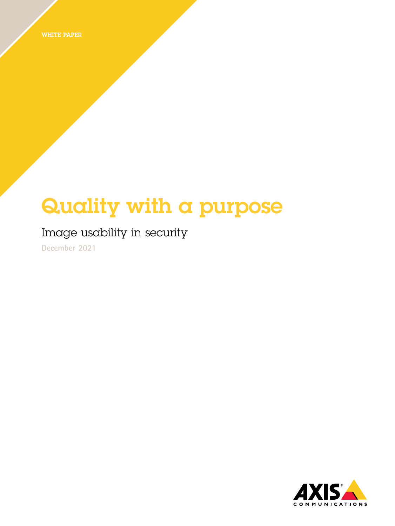WHITE PAPER

# Quality with <sup>a</sup> purpose

### Image usability in security

**December 2021**

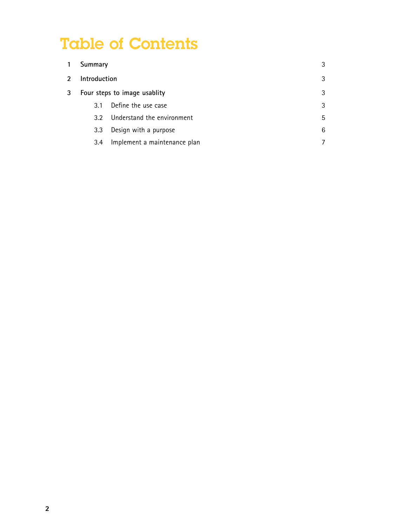## Table of Contents

|   | Summary                      |                              |   |
|---|------------------------------|------------------------------|---|
| 2 | Introduction                 |                              |   |
| 3 | Four steps to image usablity |                              |   |
|   | 3.1                          | Define the use case          | 3 |
|   | 3.2 <sup>0</sup>             | Understand the environment   | 5 |
|   | 3.3                          | Design with a purpose        | 6 |
|   | 3.4                          | Implement a maintenance plan |   |
|   |                              |                              |   |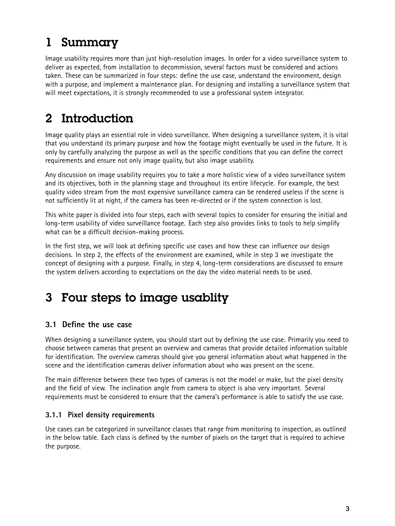### <span id="page-2-0"></span>1 Summary

Image usability requires more than just high-resolution images. In order for <sup>a</sup> video surveillance system to deliver as expected, from installation to decommission, several factors must be considered and actions taken. These can be summarized in four steps: define the use case, understand the environment, design with <sup>a</sup> purpose, and implement <sup>a</sup> maintenance plan. For designing and installing <sup>a</sup> surveillance system that will meet expectations, it is strongly recommended to use <sup>a</sup> professional system integrator.

### 2 Introduction

Image quality plays an essential role in video surveillance. When designing <sup>a</sup> surveillance system, it is vital that you understand its primary purpose and how the footage might eventually be used in the future. It is only by carefully analyzing the purpose as well as the specific conditions that you can define the correct requirements and ensure not only image quality, but also image usability.

Any discussion on image usability requires you to take <sup>a</sup> more holistic view of <sup>a</sup> video surveillance system and its objectives, both in the planning stage and throughout its entire lifecycle. For example, the best quality video stream from the most expensive surveillance camera can be rendered useless if the scene is not sufficiently lit at night, if the camera has been re-directed or if the system connection is lost.

This white paper is divided into four steps, each with several topics to consider for ensuring the initial and long-term usability of video surveillance footage. Each step also provides links to tools to help simplify what can be <sup>a</sup> difficult decision-making process.

In the first step, we will look at defining specific use cases and how these can influence our design decisions. In step 2, the effects of the environment are examined, while in step 3 we investigate the concept of designing with <sup>a</sup> purpose. Finally, in step 4, long-term considerations are discussed to ensure the system delivers according to expectations on the day the video material needs to be used.

### 3 Four steps to image usablity

#### **3.1 Define the use case**

When designing <sup>a</sup> surveillance system, you should start out by defining the use case. Primarily you need to choose between cameras that present an overview and cameras that provide detailed information suitable for identification. The overview cameras should give you general information about what happened in the scene and the identification cameras deliver information about who was present on the scene.

The main difference between these two types of cameras is not the model or make, but the pixel density and the field of view. The inclination angle from camera to object is also very important. Several requirements must be considered to ensure that the camera's performance is able to satisfy the use case.

#### **3.1.1 Pixel density requirements**

Use cases can be categorized in surveillance classes that range from monitoring to inspection, as outlined in the below table. Each class is defined by the number of pixels on the target that is required to achieve the purpose.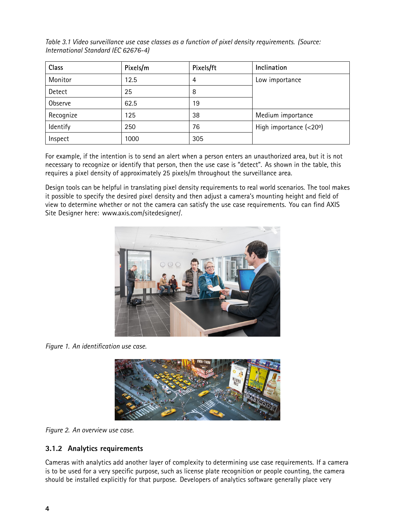*Table 3.1 Video surveillance use case classes as <sup>a</sup> function of pixel density requirements. (Source: International Standard IEC 62676-4)*

| Class     | Pixels/m | Pixels/ft | Inclination              |
|-----------|----------|-----------|--------------------------|
| Monitor   | 12.5     | 4         | Low importance           |
| Detect    | 25       | 8         |                          |
| Observe   | 62.5     | 19        |                          |
| Recognize | 125      | 38        | Medium importance        |
| Identify  | 250      | 76        | High importance $(<20°)$ |
| Inspect   | 1000     | 305       |                          |

For example, if the intention is to send an alert when <sup>a</sup> person enters an unauthorized area, but it is not necessary to recognize or identify that person, then the use case is "detect". As shown in the table, this requires <sup>a</sup> pixel density of approximately <sup>25</sup> pixels/m throughout the surveillance area.

Design tools can be helpful in translating pixel density requirements to real world scenarios. The tool makes it possible to specify the desired pixel density and then adjust <sup>a</sup> camera's mounting height and field of view to determine whether or not the camera can satisfy the use case requirements. You can find AXIS Site Designer here: www.axis.com/sitedesigner/.



*Figure 1. An identification use case.*



*Figure 2. An overview use case.*

#### **3.1.2 Analytics requirements**

Cameras with analytics add another layer of complexity to determining use case requirements. If <sup>a</sup> camera is to be used for <sup>a</sup> very specific purpose, such as license plate recognition or people counting, the camera should be installed explicitly for that purpose. Developers of analytics software generally place very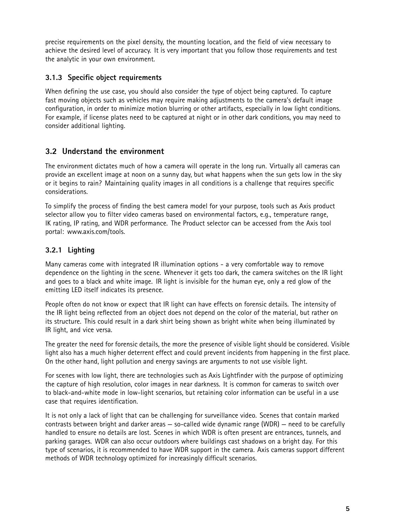<span id="page-4-0"></span>precise requirements on the pixel density, the mounting location, and the field of view necessary to achieve the desired level of accuracy. It is very important that you follow those requirements and test the analytic in your own environment.

#### **3.1.3 Specific object requirements**

When defining the use case, you should also consider the type of object being captured. To capture fast moving objects such as vehicles may require making adjustments to the camera's default image configuration, in order to minimize motion blurring or other artifacts, especially in low light conditions. For example, if license plates need to be captured at night or in other dark conditions, you may need to consider additional lighting.

#### **3.2 Understand the environment**

The environment dictates much of how <sup>a</sup> camera will operate in the long run. Virtually all cameras can provide an excellent image at noon on <sup>a</sup> sunny day, but what happens when the sun gets low in the sky or it begins to rain? Maintaining quality images in all conditions is <sup>a</sup> challenge that requires specific considerations.

To simplify the process of finding the best camera model for your purpose, tools such as Axis product selector allow you to filter video cameras based on environmental factors, e.g., temperature range, IK rating, IP rating, and WDR performance. The Product selector can be accessed from the Axis tool portal: www.axis.com/tools.

#### **3.2.1 Lighting**

Many cameras come with integrated IR illumination options - <sup>a</sup> very comfortable way to remove dependence on the lighting in the scene. Whenever it gets too dark, the camera switches on the IR light and goes to <sup>a</sup> black and white image. IR light is invisible for the human eye, only <sup>a</sup> red glow of the emitting LED itself indicates its presence.

People often do not know or expect that IR light can have effects on forensic details. The intensity of the IR light being reflected from an object does not depend on the color of the material, but rather on its structure. This could result in <sup>a</sup> dark shirt being shown as bright white when being illuminated by IR light, and vice versa.

The greater the need for forensic details, the more the presence of visible light should be considered. Visible light also has <sup>a</sup> much higher deterrent effect and could prevent incidents from happening in the first place. On the other hand, light pollution and energy savings are arguments to not use visible light.

For scenes with low light, there are technologies such as Axis Lightfinder with the purpose of optimizing the capture of high resolution, color images in near darkness. It is common for cameras to switch over to black-and-white mode in low-light scenarios, but retaining color information can be useful in <sup>a</sup> use case that requires identification.

It is not only <sup>a</sup> lack of light that can be challenging for surveillance video. Scenes that contain marked contrasts between bright and darker areas — so-called wide dynamic range (WDR) — need to be carefully handled to ensure no details are lost. Scenes in which WDR is often present are entrances, tunnels, and parking garages. WDR can also occur outdoors where buildings cast shadows on <sup>a</sup> bright day. For this type of scenarios, it is recommended to have WDR support in the camera. Axis cameras support different methods of WDR technology optimized for increasingly difficult scenarios.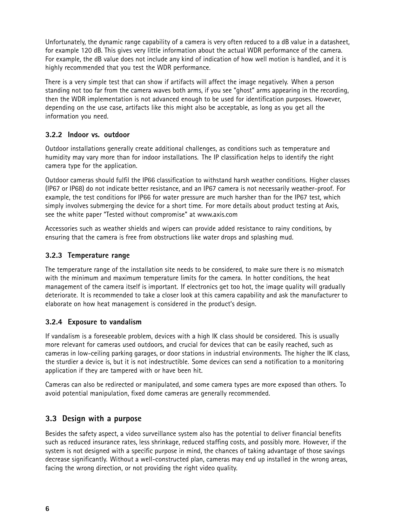<span id="page-5-0"></span>Unfortunately, the dynamic range capability of <sup>a</sup> camera is very often reduced to <sup>a</sup> dB value in <sup>a</sup> datasheet, for example 120 dB. This gives very little information about the actual WDR performance of the camera. For example, the dB value does not include any kind of indication of how well motion is handled, and it is highly recommended that you test the WDR performance.

There is <sup>a</sup> very simple test that can show if artifacts will affect the image negatively. When <sup>a</sup> person standing not too far from the camera waves both arms, if you see "ghost" arms appearing in the recording, then the WDR implementation is not advanced enough to be used for identification purposes. However, depending on the use case, artifacts like this might also be acceptable, as long as you get all the information you need.

#### **3.2.2 Indoor vs. outdoor**

Outdoor installations generally create additional challenges, as conditions such as temperature and humidity may vary more than for indoor installations. The IP classification helps to identify the right camera type for the application.

Outdoor cameras should fulfil the IP66 classification to withstand harsh weather conditions. Higher classes (IP67 or IP68) do not indicate better resistance, and an IP67 camera is not necessarily weather-proof. For example, the test conditions for IP66 for water pressure are much harsher than for the IP67 test, which simply involves submerging the device for <sup>a</sup> short time. For more details about product testing at Axis, see the white paper "Tested without compromise" at www.axis.com

Accessories such as weather shields and wipers can provide added resistance to rainy conditions, by ensuring that the camera is free from obstructions like water drops and splashing mud.

#### **3.2.3 Temperature range**

The temperature range of the installation site needs to be considered, to make sure there is no mismatch with the minimum and maximum temperature limits for the camera. In hotter conditions, the heat management of the camera itself is important. If electronics get too hot, the image quality will gradually deteriorate. It is recommended to take <sup>a</sup> closer look at this camera capability and ask the manufacturer to elaborate on how heat management is considered in the product's design.

#### **3.2.4 Exposure to vandalism**

If vandalism is <sup>a</sup> foreseeable problem, devices with <sup>a</sup> high IK class should be considered. This is usually more relevant for cameras used outdoors, and crucial for devices that can be easily reached, such as cameras in low-ceiling parking garages, or door stations in industrial environments. The higher the IK class, the sturdier <sup>a</sup> device is, but it is not indestructible. Some devices can send <sup>a</sup> notification to <sup>a</sup> monitoring application if they are tampered with or have been hit.

Cameras can also be redirected or manipulated, and some camera types are more exposed than others. To avoid potential manipulation, fixed dome cameras are generally recommended.

#### **3.3 Design with <sup>a</sup> purpose**

Besides the safety aspect, <sup>a</sup> video surveillance system also has the potential to deliver financial benefits such as reduced insurance rates, less shrinkage, reduced staffing costs, and possibly more. However, if the system is not designed with <sup>a</sup> specific purpose in mind, the chances of taking advantage of those savings decrease significantly. Without <sup>a</sup> well-constructed plan, cameras may end up installed in the wrong areas, facing the wrong direction, or not providing the right video quality.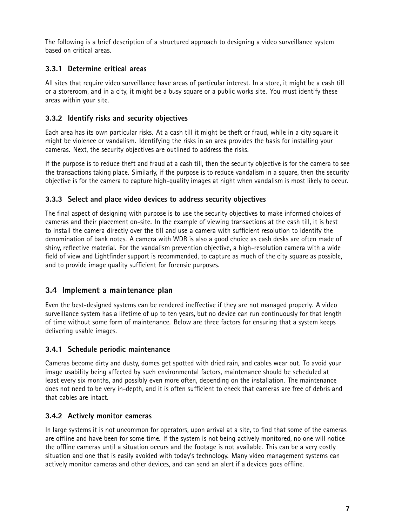<span id="page-6-0"></span>The following is <sup>a</sup> brief description of <sup>a</sup> structured approach to designing <sup>a</sup> video surveillance system based on critical areas.

#### **3.3.1 Determine critical areas**

All sites that require video surveillance have areas of particular interest. In <sup>a</sup> store, it might be <sup>a</sup> cash till or <sup>a</sup> storeroom, and in <sup>a</sup> city, it might be <sup>a</sup> busy square or <sup>a</sup> public works site. You must identify these areas within your site.

#### **3.3.2 Identify risks and security objectives**

Each area has its own particular risks. At <sup>a</sup> cash till it might be theft or fraud, while in <sup>a</sup> city square it might be violence or vandalism. Identifying the risks in an area provides the basis for installing your cameras. Next, the security objectives are outlined to address the risks.

If the purpose is to reduce theft and fraud at <sup>a</sup> cash till, then the security objective is for the camera to see the transactions taking place. Similarly, if the purpose is to reduce vandalism in <sup>a</sup> square, then the security objective is for the camera to capture high-quality images at night when vandalism is most likely to occur.

#### **3.3.3 Select and place video devices to address security objectives**

The final aspect of designing with purpose is to use the security objectives to make informed choices of cameras and their placement on-site. In the example of viewing transactions at the cash till, it is best to install the camera directly over the till and use <sup>a</sup> camera with sufficient resolution to identify the denomination of bank notes. A camera with WDR is also <sup>a</sup> good choice as cash desks are often made of shiny, reflective material. For the vandalism prevention objective, <sup>a</sup> high-resolution camera with <sup>a</sup> wide field of view and Lightfinder support is recommended, to capture as much of the city square as possible, and to provide image quality sufficient for forensic purposes.

#### **3.4 Implement <sup>a</sup> maintenance plan**

Even the best-designed systems can be rendered ineffective if they are not managed properly. A video surveillance system has <sup>a</sup> lifetime of up to ten years, but no device can run continuously for that length of time without some form of maintenance. Below are three factors for ensuring that <sup>a</sup> system keeps delivering usable images.

#### **3.4.1 Schedule periodic maintenance**

Cameras become dirty and dusty, domes get spotted with dried rain, and cables wear out. To avoid your image usability being affected by such environmental factors, maintenance should be scheduled at least every six months, and possibly even more often, depending on the installation. The maintenance does not need to be very in-depth, and it is often sufficient to check that cameras are free of debris and that cables are intact.

#### **3.4.2 Actively monitor cameras**

In large systems it is not uncommon for operators, upon arrival at <sup>a</sup> site, to find that some of the cameras are offline and have been for some time. If the system is not being actively monitored, no one will notice the offline cameras until <sup>a</sup> situation occurs and the footage is not available. This can be <sup>a</sup> very costly situation and one that is easily avoided with today's technology. Many video management systems can actively monitor cameras and other devices, and can send an alert if <sup>a</sup> devices goes offline.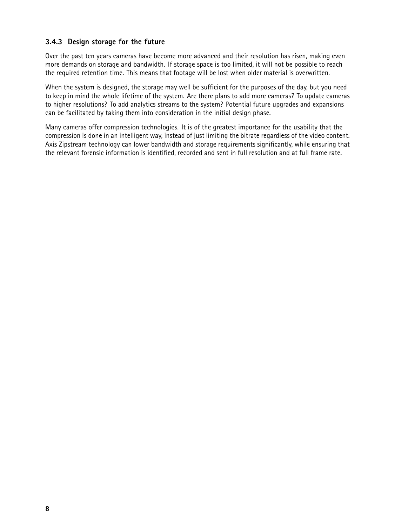#### **3.4.3 Design storage for the future**

Over the past ten years cameras have become more advanced and their resolution has risen, making even more demands on storage and bandwidth. If storage space is too limited, it will not be possible to reach the required retention time. This means that footage will be lost when older material is overwritten.

When the system is designed, the storage may well be sufficient for the purposes of the day, but you need to keep in mind the whole lifetime of the system. Are there plans to add more cameras? To update cameras to higher resolutions? To add analytics streams to the system? Potential future upgrades and expansions can be facilitated by taking them into consideration in the initial design phase.

Many cameras offer compression technologies. It is of the greatest importance for the usability that the compression is done in an intelligent way, instead of just limiting the bitrate regardless of the video content. Axis Zipstream technology can lower bandwidth and storage requirements significantly, while ensuring that the relevant forensic information is identified, recorded and sent in full resolution and at full frame rate.